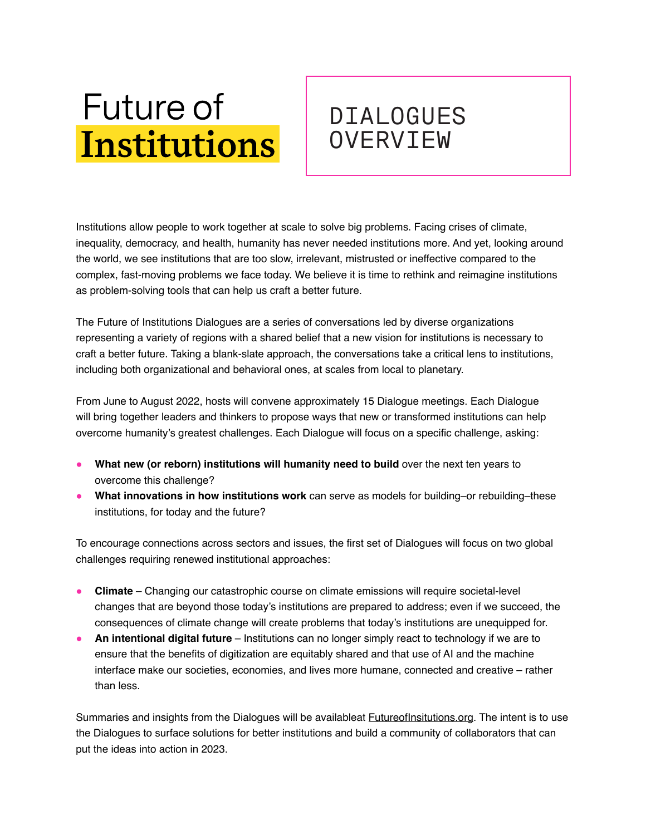## **Future of Institutions**

## DIALOGUES **OVERVIEW**

Institutions allow people to work together at scale to solve big problems. Facing crises of climate, inequality, democracy, and health, humanity has never needed institutions more. And yet, looking around the world, we see institutions that are too slow, irrelevant, mistrusted or ineffective compared to the complex, fast-moving problems we face today. We believe it is time to rethink and reimagine institutions as problem-solving tools that can help us craft a better future.

The Future of Institutions Dialogues are a series of conversations led by diverse organizations representing a variety of regions with a shared belief that a new vision for institutions is necessary to craft a better future. Taking a blank-slate approach, the conversations take a critical lens to institutions, including both organizational and behavioral ones, at scales from local to planetary.

From June to August 2022, hosts will convene approximately 15 Dialogue meetings. Each Dialogue will bring together leaders and thinkers to propose ways that new or transformed institutions can help overcome humanity's greatest challenges. Each Dialogue will focus on a specific challenge, asking:

- **What new (or reborn) institutions will humanity need to build** over the next ten years to overcome this challenge?
- **What innovations in how institutions work** can serve as models for building–or rebuilding–these institutions, for today and the future?

To encourage connections across sectors and issues, the first set of Dialogues will focus on two global challenges requiring renewed institutional approaches:

- **Climate**  Changing our catastrophic course on climate emissions will require societal-level changes that are beyond those today's institutions are prepared to address; even if we succeed, the consequences of climate change will create problems that today's institutions are unequipped for.
- **An intentional digital future** Institutions can no longer simply react to technology if we are to ensure that the benefits of digitization are equitably shared and that use of AI and the machine interface make our societies, economies, and lives more humane, connected and creative – rather than less.

Summaries and insights from the Dialogues will be availableat *Eutureoflnsitutions.org*. The intent is to use the Dialogues to surface solutions for better institutions and build a community of collaborators that can put the ideas into action in 2023.